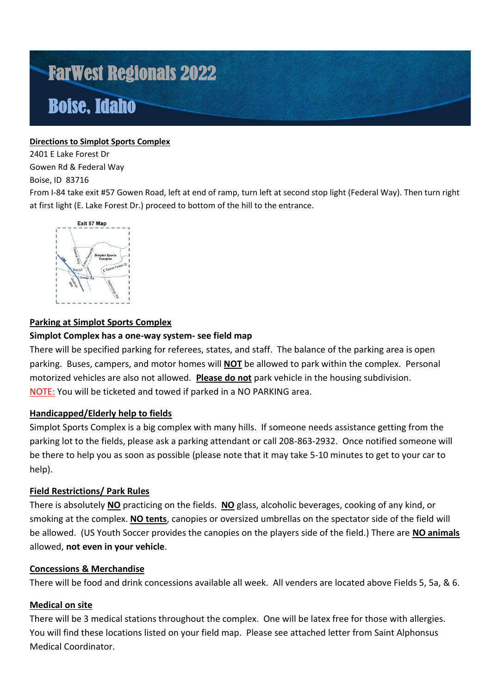# FarWest Regionals 2022 Boise, Idaho

## **Directions to Simplot Sports Complex**

2401 E Lake Forest Dr Gowen Rd & Federal Way

## Boise, ID 83716

From I-84 take exit #57 Gowen Road, left at end of ramp, turn left at second stop light (Federal Way). Then turn right at first light (E. Lake Forest Dr.) proceed to bottom of the hill to the entrance.



# **Parking at Simplot Sports Complex**

# **Simplot Complex has a one-way system- see field map**

There will be specified parking for referees, states, and staff. The balance of the parking area is open parking. Buses, campers, and motor homes will **NOT** be allowed to park within the complex. Personal motorized vehicles are also not allowed. **Please do not** park vehicle in the housing subdivision. NOTE: You will be ticketed and towed if parked in a NO PARKING area.

# **Handicapped/Elderly help to fields**

Simplot Sports Complex is a big complex with many hills. If someone needs assistance getting from the parking lot to the fields, please ask a parking attendant or call 208-863-2932. Once notified someone will be there to help you as soon as possible (please note that it may take 5-10 minutes to get to your car to help).

### **Field Restrictions/ Park Rules**

There is absolutely **NO** practicing on the fields. **NO** glass, alcoholic beverages, cooking of any kind, or smoking at the complex. **NO tents**, canopies or oversized umbrellas on the spectator side of the field will be allowed. (US Youth Soccer provides the canopies on the players side of the field.) There are **NO animals** allowed, **not even in your vehicle**.

### **Concessions & Merchandise**

There will be food and drink concessions available all week. All venders are located above Fields 5, 5a, & 6.

# **Medical on site**

There will be 3 medical stations throughout the complex. One will be latex free for those with allergies. You will find these locations listed on your field map. Please see attached letter from Saint Alphonsus Medical Coordinator.